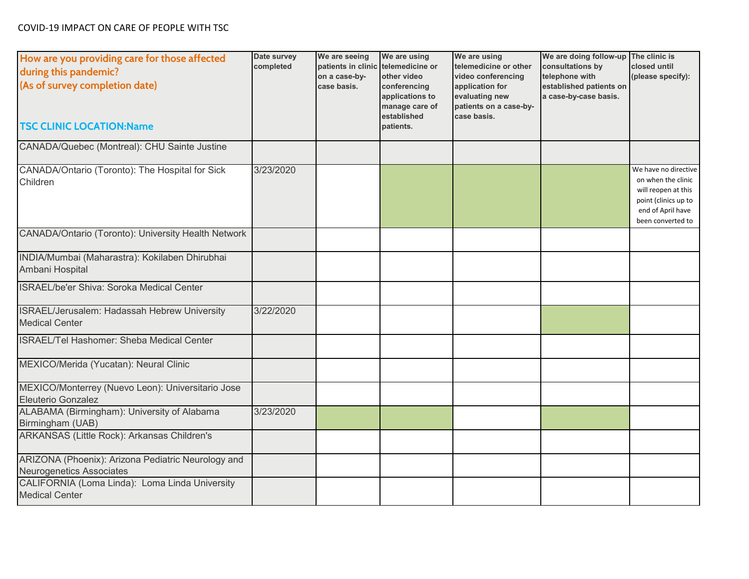| How are you providing care for those affected<br>during this pandemic?<br>(As of survey completion date)<br><b>TSC CLINIC LOCATION: Name</b> | Date survey<br>completed | We are seeing<br>patients in clinic telemedicine or<br>on a case-by-<br>case basis. | We are using<br>other video<br>conferencing<br>applications to<br>manage care of<br>established<br>patients. | We are using<br>telemedicine or other<br>video conferencing<br>application for<br>evaluating new<br>patients on a case-by-<br>case basis. | We are doing follow-up The clinic is<br>consultations by<br>telephone with<br>established patients on<br>a case-by-case basis. | closed until<br>(please specify):                                                                                                   |
|----------------------------------------------------------------------------------------------------------------------------------------------|--------------------------|-------------------------------------------------------------------------------------|--------------------------------------------------------------------------------------------------------------|-------------------------------------------------------------------------------------------------------------------------------------------|--------------------------------------------------------------------------------------------------------------------------------|-------------------------------------------------------------------------------------------------------------------------------------|
| CANADA/Quebec (Montreal): CHU Sainte Justine                                                                                                 |                          |                                                                                     |                                                                                                              |                                                                                                                                           |                                                                                                                                |                                                                                                                                     |
| CANADA/Ontario (Toronto): The Hospital for Sick<br>Children                                                                                  | 3/23/2020                |                                                                                     |                                                                                                              |                                                                                                                                           |                                                                                                                                | We have no directive<br>on when the clinic<br>will reopen at this<br>point (clinics up to<br>end of April have<br>been converted to |
| CANADA/Ontario (Toronto): University Health Network                                                                                          |                          |                                                                                     |                                                                                                              |                                                                                                                                           |                                                                                                                                |                                                                                                                                     |
| INDIA/Mumbai (Maharastra): Kokilaben Dhirubhai<br>Ambani Hospital                                                                            |                          |                                                                                     |                                                                                                              |                                                                                                                                           |                                                                                                                                |                                                                                                                                     |
| ISRAEL/be'er Shiva: Soroka Medical Center                                                                                                    |                          |                                                                                     |                                                                                                              |                                                                                                                                           |                                                                                                                                |                                                                                                                                     |
| ISRAEL/Jerusalem: Hadassah Hebrew University<br><b>Medical Center</b>                                                                        | 3/22/2020                |                                                                                     |                                                                                                              |                                                                                                                                           |                                                                                                                                |                                                                                                                                     |
| <b>ISRAEL/Tel Hashomer: Sheba Medical Center</b>                                                                                             |                          |                                                                                     |                                                                                                              |                                                                                                                                           |                                                                                                                                |                                                                                                                                     |
| MEXICO/Merida (Yucatan): Neural Clinic                                                                                                       |                          |                                                                                     |                                                                                                              |                                                                                                                                           |                                                                                                                                |                                                                                                                                     |
| MEXICO/Monterrey (Nuevo Leon): Universitario Jose<br><b>Eleuterio Gonzalez</b>                                                               |                          |                                                                                     |                                                                                                              |                                                                                                                                           |                                                                                                                                |                                                                                                                                     |
| ALABAMA (Birmingham): University of Alabama<br>Birmingham (UAB)                                                                              | 3/23/2020                |                                                                                     |                                                                                                              |                                                                                                                                           |                                                                                                                                |                                                                                                                                     |
| ARKANSAS (Little Rock): Arkansas Children's                                                                                                  |                          |                                                                                     |                                                                                                              |                                                                                                                                           |                                                                                                                                |                                                                                                                                     |
| ARIZONA (Phoenix): Arizona Pediatric Neurology and<br><b>Neurogenetics Associates</b>                                                        |                          |                                                                                     |                                                                                                              |                                                                                                                                           |                                                                                                                                |                                                                                                                                     |
| CALIFORNIA (Loma Linda): Loma Linda University<br><b>Medical Center</b>                                                                      |                          |                                                                                     |                                                                                                              |                                                                                                                                           |                                                                                                                                |                                                                                                                                     |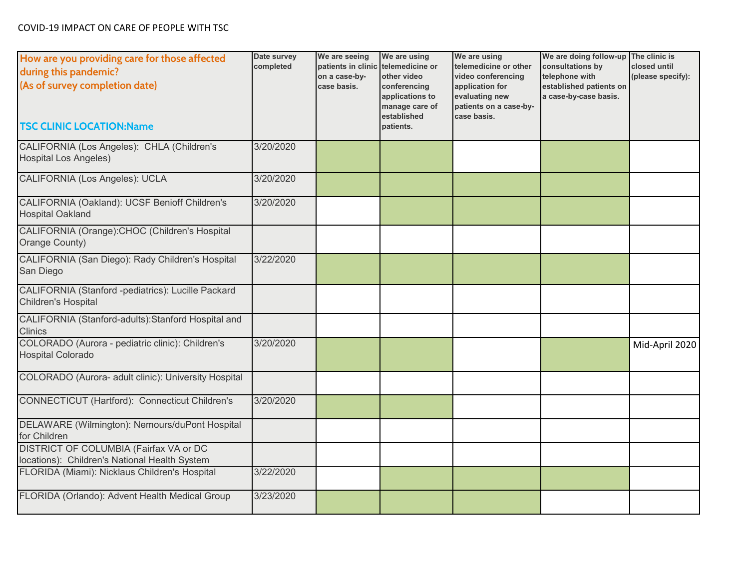| How are you providing care for those affected<br>during this pandemic?<br>(As of survey completion date)<br><b>TSC CLINIC LOCATION: Name</b> | Date survey<br>completed | We are seeing<br>patients in clinic telemedicine or<br>on a case-by-<br>case basis. | We are using<br>other video<br>conferencing<br>applications to<br>manage care of<br>established<br>patients. | We are using<br>telemedicine or other<br>video conferencing<br>application for<br>evaluating new<br>patients on a case-by-<br>case basis. | We are doing follow-up The clinic is<br>consultations by<br>telephone with<br>established patients on<br>a case-by-case basis. | closed until<br>(please specify): |
|----------------------------------------------------------------------------------------------------------------------------------------------|--------------------------|-------------------------------------------------------------------------------------|--------------------------------------------------------------------------------------------------------------|-------------------------------------------------------------------------------------------------------------------------------------------|--------------------------------------------------------------------------------------------------------------------------------|-----------------------------------|
| CALIFORNIA (Los Angeles): CHLA (Children's<br><b>Hospital Los Angeles)</b>                                                                   | 3/20/2020                |                                                                                     |                                                                                                              |                                                                                                                                           |                                                                                                                                |                                   |
| <b>CALIFORNIA (Los Angeles): UCLA</b>                                                                                                        | 3/20/2020                |                                                                                     |                                                                                                              |                                                                                                                                           |                                                                                                                                |                                   |
| CALIFORNIA (Oakland): UCSF Benioff Children's<br><b>Hospital Oakland</b>                                                                     | 3/20/2020                |                                                                                     |                                                                                                              |                                                                                                                                           |                                                                                                                                |                                   |
| CALIFORNIA (Orange): CHOC (Children's Hospital<br>Orange County)                                                                             |                          |                                                                                     |                                                                                                              |                                                                                                                                           |                                                                                                                                |                                   |
| CALIFORNIA (San Diego): Rady Children's Hospital<br>San Diego                                                                                | 3/22/2020                |                                                                                     |                                                                                                              |                                                                                                                                           |                                                                                                                                |                                   |
| CALIFORNIA (Stanford -pediatrics): Lucille Packard<br><b>Children's Hospital</b>                                                             |                          |                                                                                     |                                                                                                              |                                                                                                                                           |                                                                                                                                |                                   |
| CALIFORNIA (Stanford-adults): Stanford Hospital and<br><b>Clinics</b>                                                                        |                          |                                                                                     |                                                                                                              |                                                                                                                                           |                                                                                                                                |                                   |
| COLORADO (Aurora - pediatric clinic): Children's<br><b>Hospital Colorado</b>                                                                 | 3/20/2020                |                                                                                     |                                                                                                              |                                                                                                                                           |                                                                                                                                | Mid-April 2020                    |
| COLORADO (Aurora- adult clinic): University Hospital                                                                                         |                          |                                                                                     |                                                                                                              |                                                                                                                                           |                                                                                                                                |                                   |
| <b>CONNECTICUT (Hartford): Connecticut Children's</b>                                                                                        | 3/20/2020                |                                                                                     |                                                                                                              |                                                                                                                                           |                                                                                                                                |                                   |
| DELAWARE (Wilmington): Nemours/duPont Hospital<br>for Children                                                                               |                          |                                                                                     |                                                                                                              |                                                                                                                                           |                                                                                                                                |                                   |
| <b>DISTRICT OF COLUMBIA (Fairfax VA or DC</b><br>locations): Children's National Health System                                               |                          |                                                                                     |                                                                                                              |                                                                                                                                           |                                                                                                                                |                                   |
| FLORIDA (Miami): Nicklaus Children's Hospital                                                                                                | 3/22/2020                |                                                                                     |                                                                                                              |                                                                                                                                           |                                                                                                                                |                                   |
| FLORIDA (Orlando): Advent Health Medical Group                                                                                               | 3/23/2020                |                                                                                     |                                                                                                              |                                                                                                                                           |                                                                                                                                |                                   |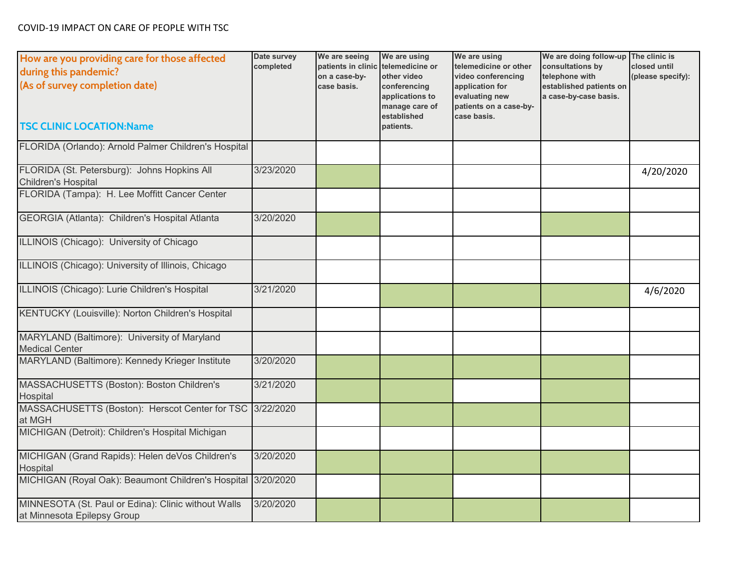| How are you providing care for those affected<br>during this pandemic?             | Date survey<br>completed | We are seeing<br>patients in clinic telemedicine or | We are using                                                                    | We are using<br>telemedicine or other                                                            | We are doing follow-up<br>consultations by                         | The clinic is<br>closed until |
|------------------------------------------------------------------------------------|--------------------------|-----------------------------------------------------|---------------------------------------------------------------------------------|--------------------------------------------------------------------------------------------------|--------------------------------------------------------------------|-------------------------------|
| (As of survey completion date)                                                     |                          | on a case-by-<br>case basis.                        | other video<br>conferencing<br>applications to<br>manage care of<br>established | video conferencing<br>application for<br>evaluating new<br>patients on a case-by-<br>case basis. | telephone with<br>established patients on<br>a case-by-case basis. | (please specify):             |
| <b>TSC CLINIC LOCATION: Name</b>                                                   |                          |                                                     | patients.                                                                       |                                                                                                  |                                                                    |                               |
| FLORIDA (Orlando): Arnold Palmer Children's Hospital                               |                          |                                                     |                                                                                 |                                                                                                  |                                                                    |                               |
| FLORIDA (St. Petersburg): Johns Hopkins All<br><b>Children's Hospital</b>          | 3/23/2020                |                                                     |                                                                                 |                                                                                                  |                                                                    | 4/20/2020                     |
| FLORIDA (Tampa): H. Lee Moffitt Cancer Center                                      |                          |                                                     |                                                                                 |                                                                                                  |                                                                    |                               |
| GEORGIA (Atlanta): Children's Hospital Atlanta                                     | 3/20/2020                |                                                     |                                                                                 |                                                                                                  |                                                                    |                               |
| ILLINOIS (Chicago): University of Chicago                                          |                          |                                                     |                                                                                 |                                                                                                  |                                                                    |                               |
| ILLINOIS (Chicago): University of Illinois, Chicago                                |                          |                                                     |                                                                                 |                                                                                                  |                                                                    |                               |
| ILLINOIS (Chicago): Lurie Children's Hospital                                      | 3/21/2020                |                                                     |                                                                                 |                                                                                                  |                                                                    | 4/6/2020                      |
| KENTUCKY (Louisville): Norton Children's Hospital                                  |                          |                                                     |                                                                                 |                                                                                                  |                                                                    |                               |
| MARYLAND (Baltimore): University of Maryland<br><b>Medical Center</b>              |                          |                                                     |                                                                                 |                                                                                                  |                                                                    |                               |
| MARYLAND (Baltimore): Kennedy Krieger Institute                                    | 3/20/2020                |                                                     |                                                                                 |                                                                                                  |                                                                    |                               |
| MASSACHUSETTS (Boston): Boston Children's<br>Hospital                              | 3/21/2020                |                                                     |                                                                                 |                                                                                                  |                                                                    |                               |
| MASSACHUSETTS (Boston): Herscot Center for TSC 3/22/2020<br>at MGH                 |                          |                                                     |                                                                                 |                                                                                                  |                                                                    |                               |
| MICHIGAN (Detroit): Children's Hospital Michigan                                   |                          |                                                     |                                                                                 |                                                                                                  |                                                                    |                               |
| MICHIGAN (Grand Rapids): Helen deVos Children's<br>Hospital                        | 3/20/2020                |                                                     |                                                                                 |                                                                                                  |                                                                    |                               |
| MICHIGAN (Royal Oak): Beaumont Children's Hospital 3/20/2020                       |                          |                                                     |                                                                                 |                                                                                                  |                                                                    |                               |
| MINNESOTA (St. Paul or Edina): Clinic without Walls<br>at Minnesota Epilepsy Group | 3/20/2020                |                                                     |                                                                                 |                                                                                                  |                                                                    |                               |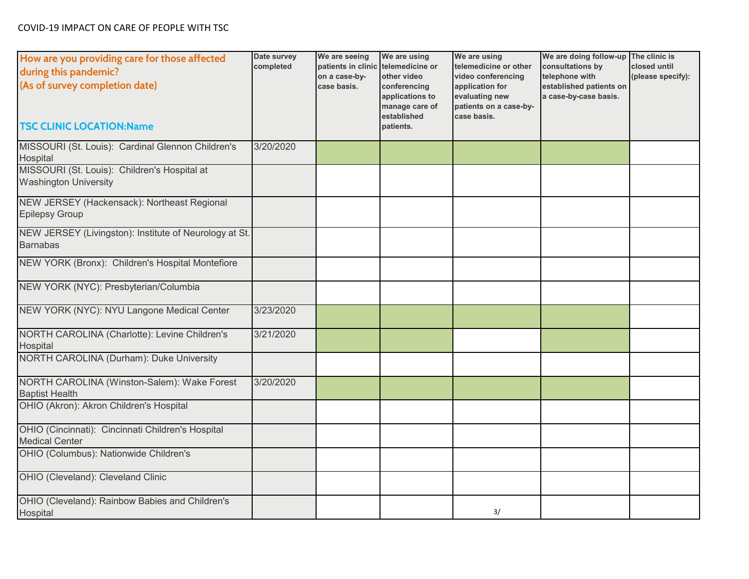| How are you providing care for those affected<br>during this pandemic?<br>(As of survey completion date)<br><b>TSC CLINIC LOCATION:Name</b> | Date survey<br>completed | We are seeing<br>patients in clinic telemedicine or<br>on a case-by-<br>case basis. | We are using<br>other video<br>conferencing<br>applications to<br>manage care of<br>established<br>patients. | We are using<br>telemedicine or other<br>video conferencing<br>application for<br>evaluating new<br>patients on a case-by-<br>case basis. | We are doing follow-up<br>consultations by<br>telephone with<br>established patients on<br>a case-by-case basis. | The clinic is<br>closed until<br>(please specify): |
|---------------------------------------------------------------------------------------------------------------------------------------------|--------------------------|-------------------------------------------------------------------------------------|--------------------------------------------------------------------------------------------------------------|-------------------------------------------------------------------------------------------------------------------------------------------|------------------------------------------------------------------------------------------------------------------|----------------------------------------------------|
| MISSOURI (St. Louis): Cardinal Glennon Children's<br>Hospital                                                                               | 3/20/2020                |                                                                                     |                                                                                                              |                                                                                                                                           |                                                                                                                  |                                                    |
| MISSOURI (St. Louis): Children's Hospital at<br><b>Washington University</b>                                                                |                          |                                                                                     |                                                                                                              |                                                                                                                                           |                                                                                                                  |                                                    |
| NEW JERSEY (Hackensack): Northeast Regional<br><b>Epilepsy Group</b>                                                                        |                          |                                                                                     |                                                                                                              |                                                                                                                                           |                                                                                                                  |                                                    |
| NEW JERSEY (Livingston): Institute of Neurology at St.<br><b>Barnabas</b>                                                                   |                          |                                                                                     |                                                                                                              |                                                                                                                                           |                                                                                                                  |                                                    |
| NEW YORK (Bronx): Children's Hospital Montefiore                                                                                            |                          |                                                                                     |                                                                                                              |                                                                                                                                           |                                                                                                                  |                                                    |
| NEW YORK (NYC): Presbyterian/Columbia                                                                                                       |                          |                                                                                     |                                                                                                              |                                                                                                                                           |                                                                                                                  |                                                    |
| NEW YORK (NYC): NYU Langone Medical Center                                                                                                  | 3/23/2020                |                                                                                     |                                                                                                              |                                                                                                                                           |                                                                                                                  |                                                    |
| NORTH CAROLINA (Charlotte): Levine Children's<br>Hospital                                                                                   | 3/21/2020                |                                                                                     |                                                                                                              |                                                                                                                                           |                                                                                                                  |                                                    |
| NORTH CAROLINA (Durham): Duke University                                                                                                    |                          |                                                                                     |                                                                                                              |                                                                                                                                           |                                                                                                                  |                                                    |
| NORTH CAROLINA (Winston-Salem): Wake Forest<br><b>Baptist Health</b>                                                                        | 3/20/2020                |                                                                                     |                                                                                                              |                                                                                                                                           |                                                                                                                  |                                                    |
| OHIO (Akron): Akron Children's Hospital                                                                                                     |                          |                                                                                     |                                                                                                              |                                                                                                                                           |                                                                                                                  |                                                    |
| OHIO (Cincinnati): Cincinnati Children's Hospital<br><b>Medical Center</b>                                                                  |                          |                                                                                     |                                                                                                              |                                                                                                                                           |                                                                                                                  |                                                    |
| OHIO (Columbus): Nationwide Children's                                                                                                      |                          |                                                                                     |                                                                                                              |                                                                                                                                           |                                                                                                                  |                                                    |
| OHIO (Cleveland): Cleveland Clinic                                                                                                          |                          |                                                                                     |                                                                                                              |                                                                                                                                           |                                                                                                                  |                                                    |
| OHIO (Cleveland): Rainbow Babies and Children's<br>Hospital                                                                                 |                          |                                                                                     |                                                                                                              | 3/                                                                                                                                        |                                                                                                                  |                                                    |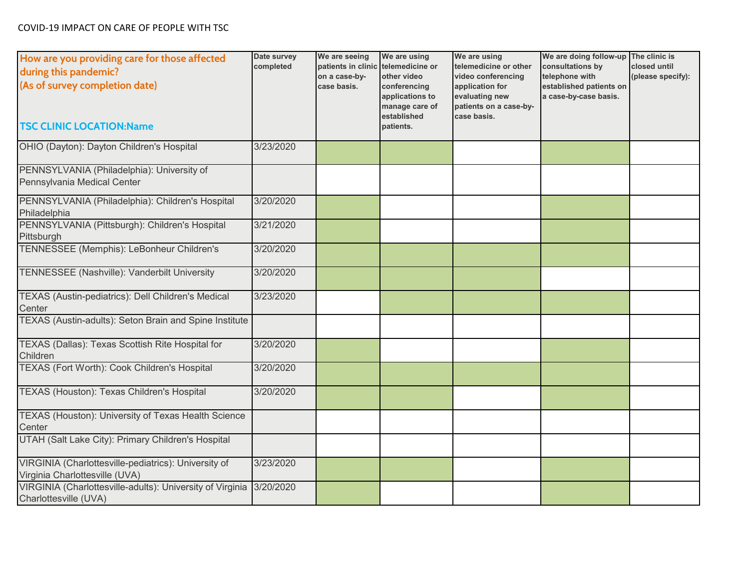| How are you providing care for those affected<br>during this pandemic?<br>(As of survey completion date)<br><b>TSC CLINIC LOCATION:Name</b> | Date survey<br>completed | We are seeing<br>patients in clinic telemedicine or<br>on a case-by-<br>case basis. | We are using<br>other video<br>conferencing<br>applications to<br>manage care of<br>established<br>patients. | We are using<br>telemedicine or other<br>video conferencing<br>application for<br>evaluating new<br>patients on a case-by-<br>case basis. | We are doing follow-up<br>consultations by<br>telephone with<br>established patients on<br>a case-by-case basis. | The clinic is<br>closed until<br>(please specify): |
|---------------------------------------------------------------------------------------------------------------------------------------------|--------------------------|-------------------------------------------------------------------------------------|--------------------------------------------------------------------------------------------------------------|-------------------------------------------------------------------------------------------------------------------------------------------|------------------------------------------------------------------------------------------------------------------|----------------------------------------------------|
| OHIO (Dayton): Dayton Children's Hospital                                                                                                   | 3/23/2020                |                                                                                     |                                                                                                              |                                                                                                                                           |                                                                                                                  |                                                    |
| PENNSYLVANIA (Philadelphia): University of<br>Pennsylvania Medical Center                                                                   |                          |                                                                                     |                                                                                                              |                                                                                                                                           |                                                                                                                  |                                                    |
| PENNSYLVANIA (Philadelphia): Children's Hospital<br>Philadelphia                                                                            | 3/20/2020                |                                                                                     |                                                                                                              |                                                                                                                                           |                                                                                                                  |                                                    |
| PENNSYLVANIA (Pittsburgh): Children's Hospital<br>Pittsburgh                                                                                | 3/21/2020                |                                                                                     |                                                                                                              |                                                                                                                                           |                                                                                                                  |                                                    |
| TENNESSEE (Memphis): LeBonheur Children's                                                                                                   | 3/20/2020                |                                                                                     |                                                                                                              |                                                                                                                                           |                                                                                                                  |                                                    |
| <b>TENNESSEE (Nashville): Vanderbilt University</b>                                                                                         | 3/20/2020                |                                                                                     |                                                                                                              |                                                                                                                                           |                                                                                                                  |                                                    |
| TEXAS (Austin-pediatrics): Dell Children's Medical<br>Center                                                                                | 3/23/2020                |                                                                                     |                                                                                                              |                                                                                                                                           |                                                                                                                  |                                                    |
| TEXAS (Austin-adults): Seton Brain and Spine Institute                                                                                      |                          |                                                                                     |                                                                                                              |                                                                                                                                           |                                                                                                                  |                                                    |
| TEXAS (Dallas): Texas Scottish Rite Hospital for<br>Children                                                                                | 3/20/2020                |                                                                                     |                                                                                                              |                                                                                                                                           |                                                                                                                  |                                                    |
| TEXAS (Fort Worth): Cook Children's Hospital                                                                                                | 3/20/2020                |                                                                                     |                                                                                                              |                                                                                                                                           |                                                                                                                  |                                                    |
| TEXAS (Houston): Texas Children's Hospital                                                                                                  | 3/20/2020                |                                                                                     |                                                                                                              |                                                                                                                                           |                                                                                                                  |                                                    |
| TEXAS (Houston): University of Texas Health Science<br>Center                                                                               |                          |                                                                                     |                                                                                                              |                                                                                                                                           |                                                                                                                  |                                                    |
| UTAH (Salt Lake City): Primary Children's Hospital                                                                                          |                          |                                                                                     |                                                                                                              |                                                                                                                                           |                                                                                                                  |                                                    |
| VIRGINIA (Charlottesville-pediatrics): University of<br>Virginia Charlottesville (UVA)                                                      | 3/23/2020                |                                                                                     |                                                                                                              |                                                                                                                                           |                                                                                                                  |                                                    |
| VIRGINIA (Charlottesville-adults): University of Virginia 3/20/2020<br>Charlottesville (UVA)                                                |                          |                                                                                     |                                                                                                              |                                                                                                                                           |                                                                                                                  |                                                    |